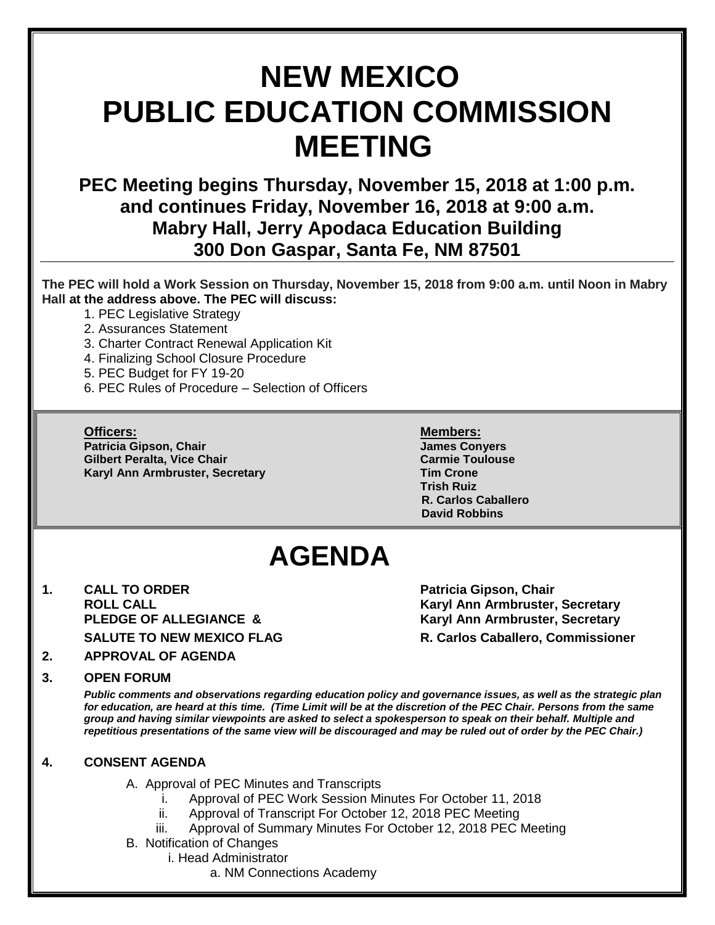# **NEW MEXICO PUBLIC EDUCATION COMMISSION MEETING**

**PEC Meeting begins Thursday, November 15, 2018 at 1:00 p.m. and continues Friday, November 16, 2018 at 9:00 a.m. Mabry Hall, Jerry Apodaca Education Building 300 Don Gaspar, Santa Fe, NM 87501**

**The PEC will hold a Work Session on Thursday, November 15, 2018 from 9:00 a.m. until Noon in Mabry Hall at the address above. The PEC will discuss:**

- 1. PEC Legislative Strategy
- 2. Assurances Statement
- 3. Charter Contract Renewal Application Kit
- 4. Finalizing School Closure Procedure
- 5. PEC Budget for FY 19-20
- 6. PEC Rules of Procedure Selection of Officers

#### **Officers: Members:**

**Patricia Gipson, Chair James Conyers Gilbert Peralta, Vice Chair Carmie Toulouse Karyl Ann Armbruster, Secretary Tim Crone**

**Trish Ruiz R. Carlos Caballero David Robbins**

# **AGENDA**

**1. CALL TO ORDER Patricia Gipson, Chair** 

**ROLL CALL Karyl Ann Armbruster, Secretary Karyl Ann Armbruster, Secretary SALUTE TO NEW MEXICO FLAG R. Carlos Caballero, Commissioner**

# **2. APPROVAL OF AGENDA**

#### **3. OPEN FORUM**

*Public comments and observations regarding education policy and governance issues, as well as the strategic plan for education, are heard at this time. (Time Limit will be at the discretion of the PEC Chair. Persons from the same group and having similar viewpoints are asked to select a spokesperson to speak on their behalf. Multiple and repetitious presentations of the same view will be discouraged and may be ruled out of order by the PEC Chair.)*

# **4. CONSENT AGENDA**

A. Approval of PEC Minutes and Transcripts

- Approval of PEC Work Session Minutes For October 11, 2018
- ii. Approval of Transcript For October 12, 2018 PEC Meeting
- iii. Approval of Summary Minutes For October 12, 2018 PEC Meeting

B. Notification of Changes

- i. Head Administrator
	- a. NM Connections Academy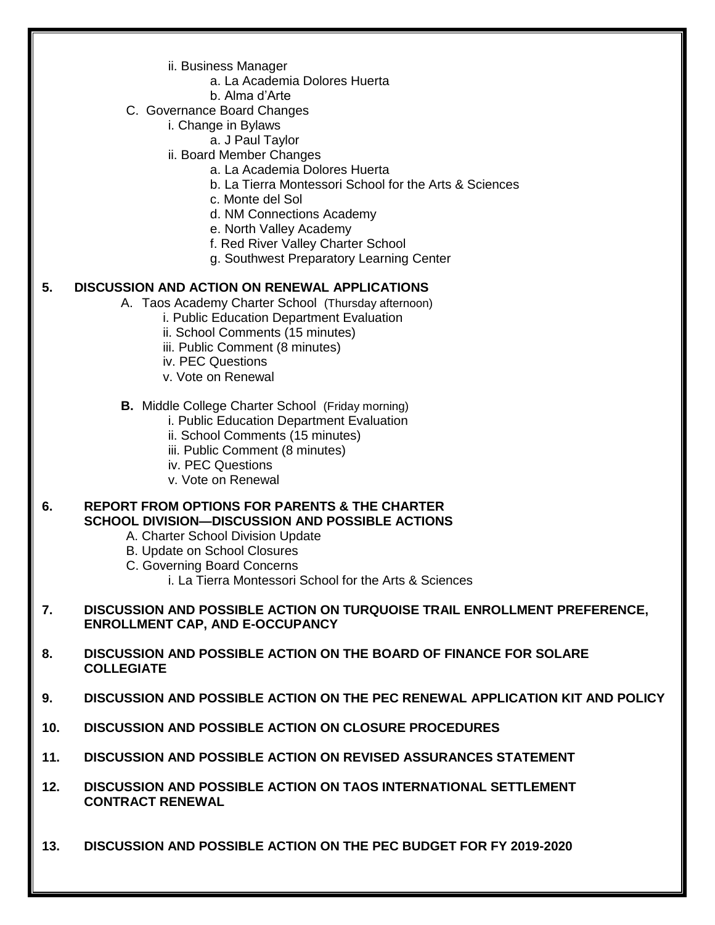- ii. Business Manager
	- a. La Academia Dolores Huerta
	- b. Alma d'Arte
- C. Governance Board Changes
	- i. Change in Bylaws
		- a. J Paul Taylor
	- ii. Board Member Changes
		- a. La Academia Dolores Huerta
		- b. La Tierra Montessori School for the Arts & Sciences
		- c. Monte del Sol
		- d. NM Connections Academy
		- e. North Valley Academy
		- f. Red River Valley Charter School
		- g. Southwest Preparatory Learning Center

#### **5. DISCUSSION AND ACTION ON RENEWAL APPLICATIONS**

- A. Taos Academy Charter School (Thursday afternoon)
	- i. Public Education Department Evaluation
	- ii. School Comments (15 minutes)
	- iii. Public Comment (8 minutes)
	- iv. PEC Questions
	- v. Vote on Renewal

#### **B.** Middle College Charter School (Friday morning)

- i. Public Education Department Evaluation
- ii. School Comments (15 minutes)
- iii. Public Comment (8 minutes)
- iv. PEC Questions
- v. Vote on Renewal

#### **6. REPORT FROM OPTIONS FOR PARENTS & THE CHARTER SCHOOL DIVISION—DISCUSSION AND POSSIBLE ACTIONS**

- A. Charter School Division Update
- B. Update on School Closures
- C. Governing Board Concerns
	- i. La Tierra Montessori School for the Arts & Sciences
- **7. DISCUSSION AND POSSIBLE ACTION ON TURQUOISE TRAIL ENROLLMENT PREFERENCE, ENROLLMENT CAP, AND E-OCCUPANCY**
- **8. DISCUSSION AND POSSIBLE ACTION ON THE BOARD OF FINANCE FOR SOLARE COLLEGIATE**
- **9. DISCUSSION AND POSSIBLE ACTION ON THE PEC RENEWAL APPLICATION KIT AND POLICY**
- **10. DISCUSSION AND POSSIBLE ACTION ON CLOSURE PROCEDURES**
- **11. DISCUSSION AND POSSIBLE ACTION ON REVISED ASSURANCES STATEMENT**
- **12. DISCUSSION AND POSSIBLE ACTION ON TAOS INTERNATIONAL SETTLEMENT CONTRACT RENEWAL**
- **13. DISCUSSION AND POSSIBLE ACTION ON THE PEC BUDGET FOR FY 2019-2020**